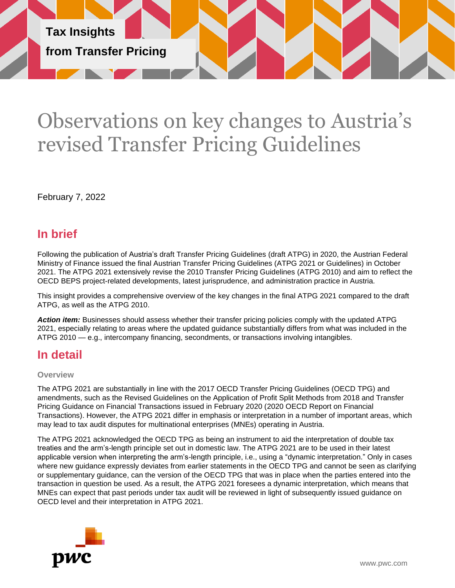

# Observations on key changes to Austria's revised Transfer Pricing Guidelines

February 7, 2022

# **In brief**

Following the publication of Austria's draft Transfer Pricing Guidelines (draft ATPG) in 2020, the Austrian Federal Ministry of Finance issued the final Austrian Transfer Pricing Guidelines (ATPG 2021 or Guidelines) in October 2021. The ATPG 2021 extensively revise the 2010 Transfer Pricing Guidelines (ATPG 2010) and aim to reflect the OECD BEPS project-related developments, latest jurisprudence, and administration practice in Austria.

This insight provides a comprehensive overview of the key changes in the final ATPG 2021 compared to the draft ATPG, as well as the ATPG 2010.

*Action item:* Businesses should assess whether their transfer pricing policies comply with the updated ATPG 2021, especially relating to areas where the updated guidance substantially differs from what was included in the ATPG 2010 — e.g., intercompany financing, secondments, or transactions involving intangibles.

# **In detail**

## **Overview**

The ATPG 2021 are substantially in line with the 2017 OECD Transfer Pricing Guidelines (OECD TPG) and amendments, such as the Revised Guidelines on the Application of Profit Split Methods from 2018 and Transfer Pricing Guidance on Financial Transactions issued in February 2020 (2020 OECD Report on Financial Transactions). However, the ATPG 2021 differ in emphasis or interpretation in a number of important areas, which may lead to tax audit disputes for multinational enterprises (MNEs) operating in Austria.

The ATPG 2021 acknowledged the OECD TPG as being an instrument to aid the interpretation of double tax treaties and the arm's-length principle set out in domestic law. The ATPG 2021 are to be used in their latest applicable version when interpreting the arm's-length principle, i.e., using a "dynamic interpretation." Only in cases where new guidance expressly deviates from earlier statements in the OECD TPG and cannot be seen as clarifying or supplementary guidance, can the version of the OECD TPG that was in place when the parties entered into the transaction in question be used. As a result, the ATPG 2021 foresees a dynamic interpretation, which means that MNEs can expect that past periods under tax audit will be reviewed in light of subsequently issued guidance on OECD level and their interpretation in ATPG 2021.

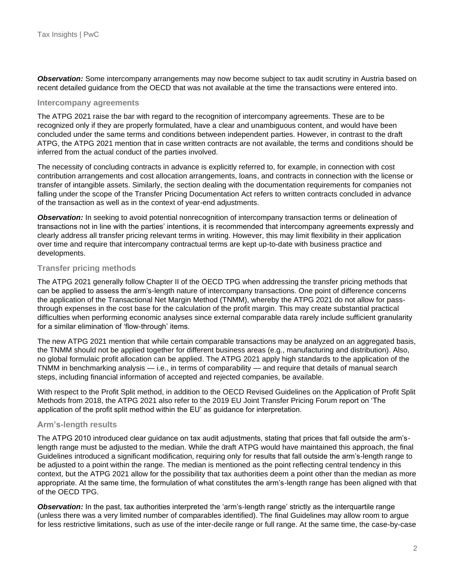*Observation:* Some intercompany arrangements may now become subject to tax audit scrutiny in Austria based on recent detailed guidance from the OECD that was not available at the time the transactions were entered into.

#### **Intercompany agreements**

The ATPG 2021 raise the bar with regard to the recognition of intercompany agreements. These are to be recognized only if they are properly formulated, have a clear and unambiguous content, and would have been concluded under the same terms and conditions between independent parties. However, in contrast to the draft ATPG, the ATPG 2021 mention that in case written contracts are not available, the terms and conditions should be inferred from the actual conduct of the parties involved.

The necessity of concluding contracts in advance is explicitly referred to, for example, in connection with cost contribution arrangements and cost allocation arrangements, loans, and contracts in connection with the license or transfer of intangible assets. Similarly, the section dealing with the documentation requirements for companies not falling under the scope of the Transfer Pricing Documentation Act refers to written contracts concluded in advance of the transaction as well as in the context of year-end adjustments.

*Observation:* In seeking to avoid potential nonrecognition of intercompany transaction terms or delineation of transactions not in line with the parties' intentions, it is recommended that intercompany agreements expressly and clearly address all transfer pricing relevant terms in writing. However, this may limit flexibility in their application over time and require that intercompany contractual terms are kept up-to-date with business practice and developments.

#### **Transfer pricing methods**

The ATPG 2021 generally follow Chapter II of the OECD TPG when addressing the transfer pricing methods that can be applied to assess the arm's-length nature of intercompany transactions. One point of difference concerns the application of the Transactional Net Margin Method (TNMM), whereby the ATPG 2021 do not allow for passthrough expenses in the cost base for the calculation of the profit margin. This may create substantial practical difficulties when performing economic analyses since external comparable data rarely include sufficient granularity for a similar elimination of 'flow-through' items.

The new ATPG 2021 mention that while certain comparable transactions may be analyzed on an aggregated basis, the TNMM should not be applied together for different business areas (e.g., manufacturing and distribution). Also, no global formulaic profit allocation can be applied. The ATPG 2021 apply high standards to the application of the TNMM in benchmarking analysis — i.e., in terms of comparability — and require that details of manual search steps, including financial information of accepted and rejected companies, be available.

With respect to the Profit Split method, in addition to the OECD Revised Guidelines on the Application of Profit Split Methods from 2018, the ATPG 2021 also refer to the 2019 EU Joint Transfer Pricing Forum report on 'The application of the profit split method within the EU' as guidance for interpretation.

#### **Arm's-length results**

The ATPG 2010 introduced clear guidance on tax audit adjustments, stating that prices that fall outside the arm'slength range must be adjusted to the median. While the draft ATPG would have maintained this approach, the final Guidelines introduced a significant modification, requiring only for results that fall outside the arm's-length range to be adjusted to a point within the range. The median is mentioned as the point reflecting central tendency in this context, but the ATPG 2021 allow for the possibility that tax authorities deem a point other than the median as more appropriate. At the same time, the formulation of what constitutes the arm's-length range has been aligned with that of the OECD TPG.

*Observation:* In the past, tax authorities interpreted the 'arm's-length range' strictly as the interquartile range (unless there was a very limited number of comparables identified). The final Guidelines may allow room to argue for less restrictive limitations, such as use of the inter-decile range or full range. At the same time, the case-by-case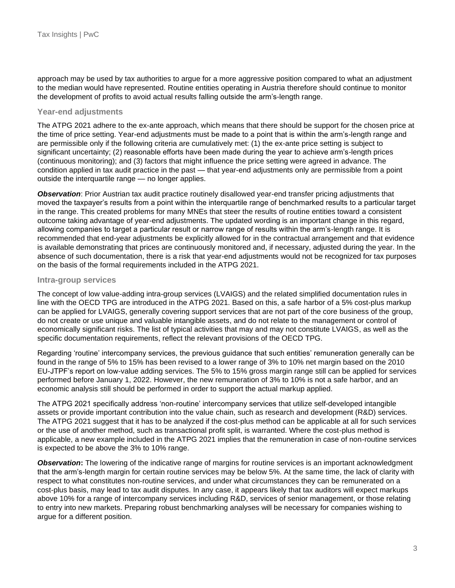approach may be used by tax authorities to argue for a more aggressive position compared to what an adjustment to the median would have represented. Routine entities operating in Austria therefore should continue to monitor the development of profits to avoid actual results falling outside the arm's-length range.

## **Year-end adjustments**

The ATPG 2021 adhere to the ex-ante approach, which means that there should be support for the chosen price at the time of price setting. Year-end adjustments must be made to a point that is within the arm's-length range and are permissible only if the following criteria are cumulatively met: (1) the ex-ante price setting is subject to significant uncertainty; (2) reasonable efforts have been made during the year to achieve arm's-length prices (continuous monitoring); and (3) factors that might influence the price setting were agreed in advance. The condition applied in tax audit practice in the past — that year-end adjustments only are permissible from a point outside the interquartile range — no longer applies.

*Observation*: Prior Austrian tax audit practice routinely disallowed year-end transfer pricing adjustments that moved the taxpayer's results from a point within the interquartile range of benchmarked results to a particular target in the range. This created problems for many MNEs that steer the results of routine entities toward a consistent outcome taking advantage of year-end adjustments. The updated wording is an important change in this regard, allowing companies to target a particular result or narrow range of results within the arm's-length range. It is recommended that end-year adjustments be explicitly allowed for in the contractual arrangement and that evidence is available demonstrating that prices are continuously monitored and, if necessary, adjusted during the year. In the absence of such documentation, there is a risk that year-end adjustments would not be recognized for tax purposes on the basis of the formal requirements included in the ATPG 2021.

## **Intra-group services**

The concept of low value-adding intra-group services (LVAIGS) and the related simplified documentation rules in line with the OECD TPG are introduced in the ATPG 2021. Based on this, a safe harbor of a 5% cost-plus markup can be applied for LVAIGS, generally covering support services that are not part of the core business of the group, do not create or use unique and valuable intangible assets, and do not relate to the management or control of economically significant risks. The list of typical activities that may and may not constitute LVAIGS, as well as the specific documentation requirements, reflect the relevant provisions of the OECD TPG.

Regarding 'routine' intercompany services, the previous guidance that such entities' remuneration generally can be found in the range of 5% to 15% has been revised to a lower range of 3% to 10% net margin based on the 2010 EU-JTPF's report on low-value adding services. The 5% to 15% gross margin range still can be applied for services performed before January 1, 2022. However, the new remuneration of 3% to 10% is not a safe harbor, and an economic analysis still should be performed in order to support the actual markup applied.

The ATPG 2021 specifically address 'non-routine' intercompany services that utilize self-developed intangible assets or provide important contribution into the value chain, such as research and development (R&D) services. The ATPG 2021 suggest that it has to be analyzed if the cost-plus method can be applicable at all for such services or the use of another method, such as transactional profit split, is warranted. Where the cost-plus method is applicable, a new example included in the ATPG 2021 implies that the remuneration in case of non-routine services is expected to be above the 3% to 10% range.

*Observation***:** The lowering of the indicative range of margins for routine services is an important acknowledgment that the arm's-length margin for certain routine services may be below 5%. At the same time, the lack of clarity with respect to what constitutes non-routine services, and under what circumstances they can be remunerated on a cost-plus basis, may lead to tax audit disputes. In any case, it appears likely that tax auditors will expect markups above 10% for a range of intercompany services including R&D, services of senior management, or those relating to entry into new markets. Preparing robust benchmarking analyses will be necessary for companies wishing to argue for a different position.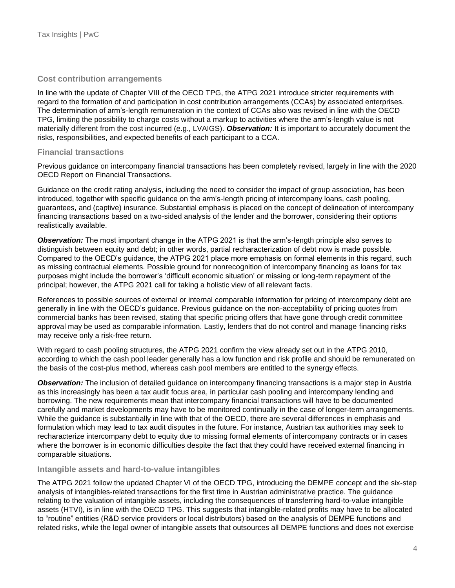## **Cost contribution arrangements**

In line with the update of Chapter VIII of the OECD TPG, the ATPG 2021 introduce stricter requirements with regard to the formation of and participation in cost contribution arrangements (CCAs) by associated enterprises. The determination of arm's-length remuneration in the context of CCAs also was revised in line with the OECD TPG, limiting the possibility to charge costs without a markup to activities where the arm's-length value is not materially different from the cost incurred (e.g., LVAIGS). *Observation:* It is important to accurately document the risks, responsibilities, and expected benefits of each participant to a CCA.

## **Financial transactions**

Previous guidance on intercompany financial transactions has been completely revised, largely in line with the 2020 OECD Report on Financial Transactions.

Guidance on the credit rating analysis, including the need to consider the impact of group association, has been introduced, together with specific guidance on the arm's-length pricing of intercompany loans, cash pooling, guarantees, and (captive) insurance. Substantial emphasis is placed on the concept of delineation of intercompany financing transactions based on a two-sided analysis of the lender and the borrower, considering their options realistically available.

*Observation:* The most important change in the ATPG 2021 is that the arm's-length principle also serves to distinguish between equity and debt; in other words, partial recharacterization of debt now is made possible. Compared to the OECD's guidance, the ATPG 2021 place more emphasis on formal elements in this regard, such as missing contractual elements. Possible ground for nonrecognition of intercompany financing as loans for tax purposes might include the borrower's 'difficult economic situation' or missing or long-term repayment of the principal; however, the ATPG 2021 call for taking a holistic view of all relevant facts.

References to possible sources of external or internal comparable information for pricing of intercompany debt are generally in line with the OECD's guidance. Previous guidance on the non-acceptability of pricing quotes from commercial banks has been revised, stating that specific pricing offers that have gone through credit committee approval may be used as comparable information. Lastly, lenders that do not control and manage financing risks may receive only a risk-free return.

With regard to cash pooling structures, the ATPG 2021 confirm the view already set out in the ATPG 2010, according to which the cash pool leader generally has a low function and risk profile and should be remunerated on the basis of the cost-plus method, whereas cash pool members are entitled to the synergy effects.

*Observation:* The inclusion of detailed guidance on intercompany financing transactions is a major step in Austria as this increasingly has been a tax audit focus area, in particular cash pooling and intercompany lending and borrowing. The new requirements mean that intercompany financial transactions will have to be documented carefully and market developments may have to be monitored continually in the case of longer-term arrangements. While the guidance is substantially in line with that of the OECD, there are several differences in emphasis and formulation which may lead to tax audit disputes in the future. For instance, Austrian tax authorities may seek to recharacterize intercompany debt to equity due to missing formal elements of intercompany contracts or in cases where the borrower is in economic difficulties despite the fact that they could have received external financing in comparable situations.

## **Intangible assets and hard-to-value intangibles**

The ATPG 2021 follow the updated Chapter VI of the OECD TPG, introducing the DEMPE concept and the six-step analysis of intangibles-related transactions for the first time in Austrian administrative practice. The guidance relating to the valuation of intangible assets, including the consequences of transferring hard-to-value intangible assets (HTVI), is in line with the OECD TPG. This suggests that intangible-related profits may have to be allocated to "routine" entities (R&D service providers or local distributors) based on the analysis of DEMPE functions and related risks, while the legal owner of intangible assets that outsources all DEMPE functions and does not exercise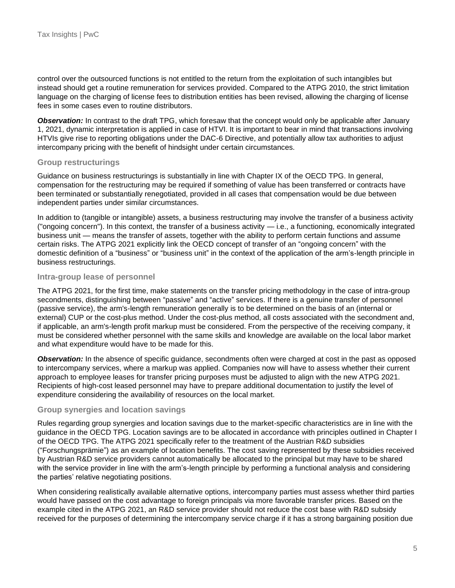control over the outsourced functions is not entitled to the return from the exploitation of such intangibles but instead should get a routine remuneration for services provided. Compared to the ATPG 2010, the strict limitation language on the charging of license fees to distribution entities has been revised, allowing the charging of license fees in some cases even to routine distributors.

*Observation:* In contrast to the draft TPG, which foresaw that the concept would only be applicable after January 1, 2021, dynamic interpretation is applied in case of HTVI. It is important to bear in mind that transactions involving HTVIs give rise to reporting obligations under the DAC-6 Directive, and potentially allow tax authorities to adjust intercompany pricing with the benefit of hindsight under certain circumstances.

## **Group restructurings**

Guidance on business restructurings is substantially in line with Chapter IX of the OECD TPG. In general, compensation for the restructuring may be required if something of value has been transferred or contracts have been terminated or substantially renegotiated, provided in all cases that compensation would be due between independent parties under similar circumstances.

In addition to (tangible or intangible) assets, a business restructuring may involve the transfer of a business activity ("ongoing concern"). In this context, the transfer of a business activity  $-$  i.e., a functioning, economically integrated business unit — means the transfer of assets, together with the ability to perform certain functions and assume certain risks. The ATPG 2021 explicitly link the OECD concept of transfer of an "ongoing concern" with the domestic definition of a "business" or "business unit" in the context of the application of the arm's-length principle in business restructurings.

#### **Intra-group lease of personnel**

The ATPG 2021, for the first time, make statements on the transfer pricing methodology in the case of intra-group secondments, distinguishing between "passive" and "active" services. If there is a genuine transfer of personnel (passive service), the arm's-length remuneration generally is to be determined on the basis of an (internal or external) CUP or the cost-plus method. Under the cost-plus method, all costs associated with the secondment and, if applicable, an arm's-length profit markup must be considered. From the perspective of the receiving company, it must be considered whether personnel with the same skills and knowledge are available on the local labor market and what expenditure would have to be made for this.

*Observation:* In the absence of specific guidance, secondments often were charged at cost in the past as opposed to intercompany services, where a markup was applied. Companies now will have to assess whether their current approach to employee leases for transfer pricing purposes must be adjusted to align with the new ATPG 2021. Recipients of high-cost leased personnel may have to prepare additional documentation to justify the level of expenditure considering the availability of resources on the local market.

## **Group synergies and location savings**

Rules regarding group synergies and location savings due to the market-specific characteristics are in line with the guidance in the OECD TPG. Location savings are to be allocated in accordance with principles outlined in Chapter I of the OECD TPG. The ATPG 2021 specifically refer to the treatment of the Austrian R&D subsidies ("Forschungsprämie") as an example of location benefits. The cost saving represented by these subsidies received by Austrian R&D service providers cannot automatically be allocated to the principal but may have to be shared with the service provider in line with the arm's-length principle by performing a functional analysis and considering the parties' relative negotiating positions.

When considering realistically available alternative options, intercompany parties must assess whether third parties would have passed on the cost advantage to foreign principals via more favorable transfer prices. Based on the example cited in the ATPG 2021, an R&D service provider should not reduce the cost base with R&D subsidy received for the purposes of determining the intercompany service charge if it has a strong bargaining position due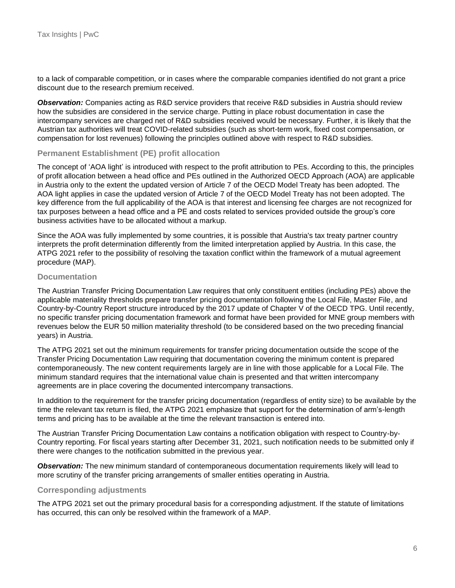to a lack of comparable competition, or in cases where the comparable companies identified do not grant a price discount due to the research premium received.

*Observation:* Companies acting as R&D service providers that receive R&D subsidies in Austria should review how the subsidies are considered in the service charge. Putting in place robust documentation in case the intercompany services are charged net of R&D subsidies received would be necessary. Further, it is likely that the Austrian tax authorities will treat COVID-related subsidies (such as short-term work, fixed cost compensation, or compensation for lost revenues) following the principles outlined above with respect to R&D subsidies.

## **Permanent Establishment (PE) profit allocation**

The concept of 'AOA light' is introduced with respect to the profit attribution to PEs. According to this, the principles of profit allocation between a head office and PEs outlined in the Authorized OECD Approach (AOA) are applicable in Austria only to the extent the updated version of Article 7 of the OECD Model Treaty has been adopted. The AOA light applies in case the updated version of Article 7 of the OECD Model Treaty has not been adopted. The key difference from the full applicability of the AOA is that interest and licensing fee charges are not recognized for tax purposes between a head office and a PE and costs related to services provided outside the group's core business activities have to be allocated without a markup.

Since the AOA was fully implemented by some countries, it is possible that Austria's tax treaty partner country interprets the profit determination differently from the limited interpretation applied by Austria. In this case, the ATPG 2021 refer to the possibility of resolving the taxation conflict within the framework of a mutual agreement procedure (MAP).

## **Documentation**

The Austrian Transfer Pricing Documentation Law requires that only constituent entities (including PEs) above the applicable materiality thresholds prepare transfer pricing documentation following the Local File, Master File, and Country-by-Country Report structure introduced by the 2017 update of Chapter V of the OECD TPG. Until recently, no specific transfer pricing documentation framework and format have been provided for MNE group members with revenues below the EUR 50 million materiality threshold (to be considered based on the two preceding financial years) in Austria.

The ATPG 2021 set out the minimum requirements for transfer pricing documentation outside the scope of the Transfer Pricing Documentation Law requiring that documentation covering the minimum content is prepared contemporaneously. The new content requirements largely are in line with those applicable for a Local File. The minimum standard requires that the international value chain is presented and that written intercompany agreements are in place covering the documented intercompany transactions.

In addition to the requirement for the transfer pricing documentation (regardless of entity size) to be available by the time the relevant tax return is filed, the ATPG 2021 emphasize that support for the determination of arm's-length terms and pricing has to be available at the time the relevant transaction is entered into.

The Austrian Transfer Pricing Documentation Law contains a notification obligation with respect to Country-by-Country reporting. For fiscal years starting after December 31, 2021, such notification needs to be submitted only if there were changes to the notification submitted in the previous year.

*Observation:* The new minimum standard of contemporaneous documentation requirements likely will lead to more scrutiny of the transfer pricing arrangements of smaller entities operating in Austria.

#### **Corresponding adjustments**

The ATPG 2021 set out the primary procedural basis for a corresponding adjustment. If the statute of limitations has occurred, this can only be resolved within the framework of a MAP.